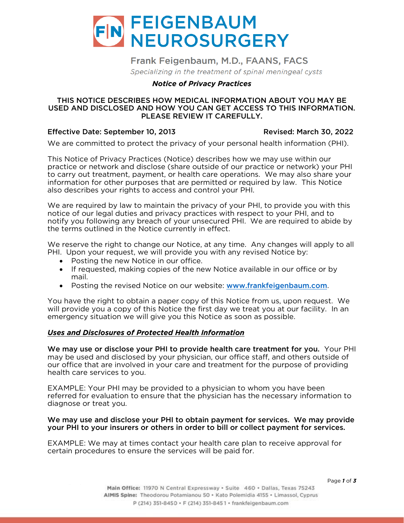

# Frank Feigenbaum, M.D., FAANS, FACS

Specializing in the treatment of spinal meningeal cysts

## *Notice of Privacy Practices*

#### THIS NOTICE DESCRIBES HOW MEDICAL INFORMATION ABOUT YOU MAY BE USED AND DISCLOSED AND HOW YOU CAN GET ACCESS TO THIS INFORMATION. PLEASE REVIEW IT CAREFULLY.

### Effective Date: September 10, 2013 Revised: March 30, 2022

We are committed to protect the protect the protect the protect the privacy of  $\mathcal{P}_{\text{H}}$ .

This Notice of Privacy Practices (Notice) describes how we may use within our to carry out treatment, payment, or health care operations. We may also share your information for other purposes that are permitted or required by law. This Notice also describes your rights to access and control your PHI. also describes your rights to access and control your PHI.

We are required by law to maintain the privacy of your PHI, to provide you with this notice of our legal duties and privacy practices with respect to your PHI, and to notify you following any breach of your unsecured PHI. We are required to abide by the terms outlined in the Notice currently in effect. the terms outlined in the Notice currently in effect.

We reserve the right to change our Notice, at any time. Any changes will apply to all PHI. Upon your request, we will provide you with any revised Notice by:

- 
- Posting the new Notice in our office.<br>• If requested making copies of the new Notice available in our office. • If requested, making copies of the new Notice available in our office or by
	- Posting the revised Notice on our website: **[www.frankfeigenbaum.com](http://www.frankfeigenbaum.com/)**.

You have the right to obtain a paper copy of this Notice from us, upon request. We will provide you a copy of this Notice the first day we treat you at our facility. In an emergency situation we will give you this Notice as soon as possible. emergency situation we will give you this Notice as soon as possible.

# *Uses and Disclosures of Protected Health Information*

We may use or disclose your PHI to provide health care treatment for you. Your PHI may be used and disclosed by your physician, our office staff, and others outside of our office that are involved in your care and treatment for the purpose of providing health care services to you. health care services to you.

EXAMPLE: Your PHI may be provided to a physician to whom you have been<br>referred for evaluation to ensure that the physician has the necessary information to diagnose or treat you. diagnose or treat you.

#### We may use and disclose your PHI to obtain payment for services. We may provide your PHI to your insurers or others in order to bill or collect payment for services.

EXAMPLE: We may at times contact your health care plan to receive approval for certain procedures to ensure the services will be paid for. certain procedures to ensure the services will be paid for.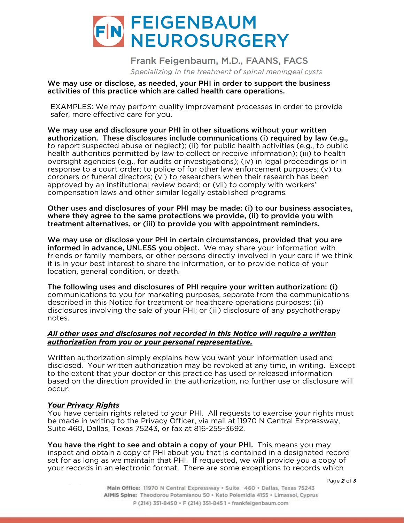

Frank Feigenbaum, M.D., FAANS, FACS Specializing in the treatment of spinal meningeal cysts

We may use or disclose, as needed, your PHI in order to support the business activities of this practice which are called health care operations.

EXAMPLES: We may perform quality improvement processes in order to provide safer, more effective care for you.

We may use and disclosure your PHI in other situations without your written authorization. These disclosures include communications (i) required by law (e.g., to report suspected abuse or neglect); (ii) for public health activities (e.g., to public health authorities permitted by law to collect or receive information); (iii) to health oversight agencies (e.g., for audits or investigations); (iv) in legal proceedings or in response to a court order: to police of for other law enforcement purposes: (v) to coroners or funeral directors; (vi) to researchers when their research has been approved by an institutional review board; or (vii) to comply with workers' compensation laws and other similar legally established programs. compensation laws and other similar legally established programs.

Other uses and disclosures of your PHI may be made: (i) to our business associates, where they agree to the same protections we provide, (ii) to provide you with treatment alternatives, or (iii) to provide you with appointment reminders.

We may use or disclose your PHI in certain circumstances, provided that you are informed in advance, UNLESS you object. We may share your information with friends or family members, or other persons directly involved in your care if we think it is in your best interest to share the information, or to provide notice of your location, general condition, or death. location, general condition, or death.

The following uses and disclosures of PHI require your written authorization: (i) communications to you for marketing purposes, separate from the communications disclosures involving the sale of your PHI; or (iii) disclosure of any psychotherapy disclosures involving the sale of your PHI; or (iii) disclosure of any psychotherapy notes.

### *All other uses and disclosures not recorded in this Notice will require a written authorization from you or your personal representative.*

Written authorization simply explains how you want your information used and<br>disclosed. Your written authorization may be revoked at any time, in writing. Except to the extent that your doctor or this practice has used or released information based on the direction provided in the authorization, no further use or disclosure will based on the direction provided in the authorization, no further use or disclosure will occur.

*Your Privacy Rights* be made in writing to the Privacy Officer, via mail at 11970 N Central Expressway, Suite 460, Dallas, Texas 75243, or fax at 816-255-3692. Suite 460, Dallas, Texas 75243, or fax at 816-255-3692.

You have the right to see and obtain a copy of your PHI. This means you may inspect and obtain a copy of PHI about you that is contained in a designated record set for as long as we maintain that PHI. If requested, we will provide you a copy of set for a set for an experience format. There are some exceptions to records which your records in an electronic format. There are some exceptions to records which